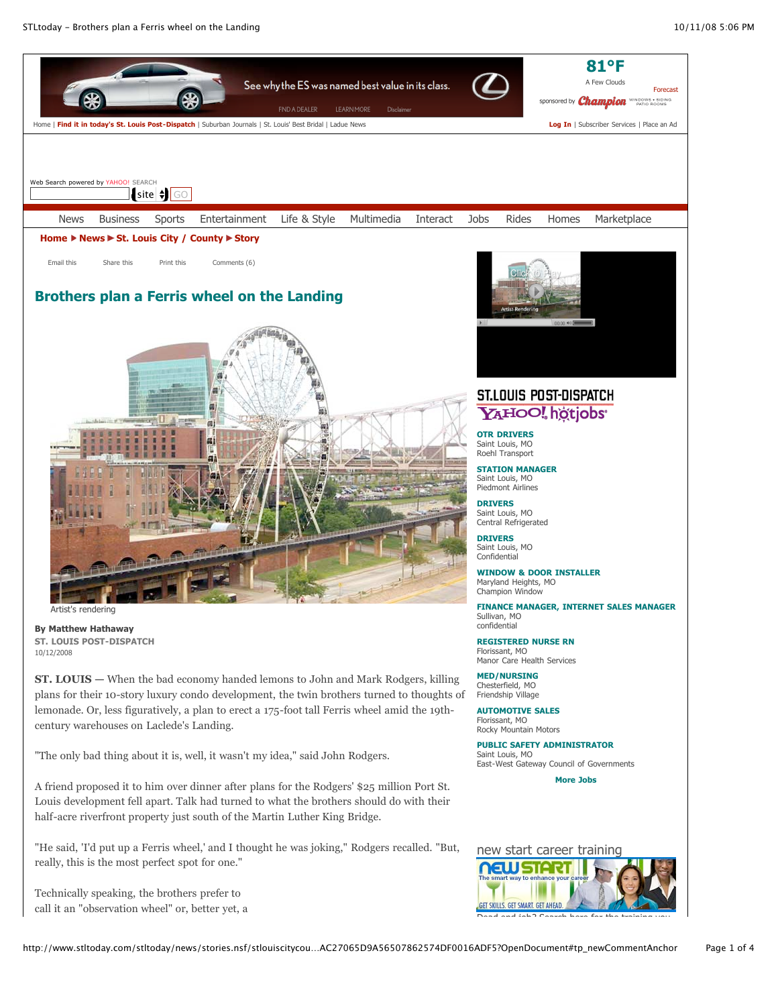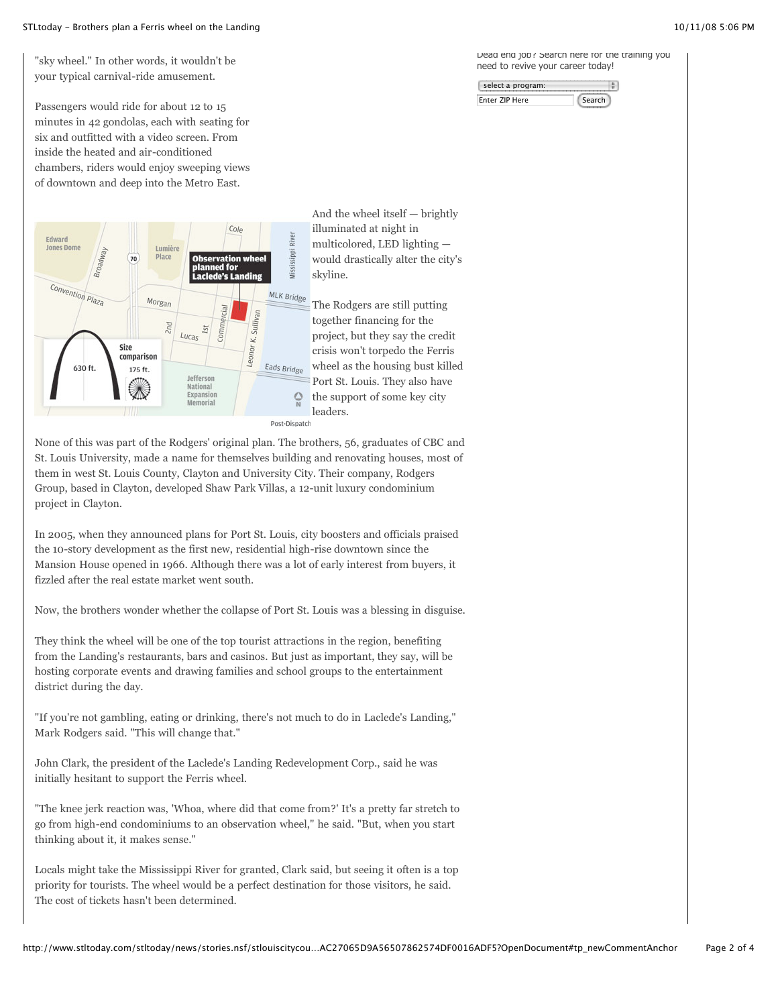#### STLtoday - Brothers plan a Ferris wheel on the Landing 10/11/08 5:06 PM

"sky wheel." In other words, it wouldn't be your typical carnival-ride amusement.

Passengers would ride for about 12 to 15 minutes in 42 gondolas, each with seating for six and outfitted with a video screen. From inside the heated and air-conditioned chambers, riders would enjoy sweeping views of downtown and deep into the Metro East.



None of this was part of the Rodgers' original plan. The brothers, 56, graduates of CBC and St. Louis University, made a name for themselves building and renovating houses, most of them in west St. Louis County, Clayton and University City. Their company, Rodgers Group, based in Clayton, developed Shaw Park Villas, a 12-unit luxury condominium project in Clayton.

In 2005, when they announced plans for Port St. Louis, city boosters and officials praised the 10-story development as the first new, residential high-rise downtown since the Mansion House opened in 1966. Although there was a lot of early interest from buyers, it fizzled after the real estate market went south.

Now, the brothers wonder whether the collapse of Port St. Louis was a blessing in disguise.

They think the wheel will be one of the top tourist attractions in the region, benefiting from the Landing's restaurants, bars and casinos. But just as important, they say, will be hosting corporate events and drawing families and school groups to the entertainment district during the day.

"If you're not gambling, eating or drinking, there's not much to do in Laclede's Landing," Mark Rodgers said. "This will change that."

John Clark, the president of the Laclede's Landing Redevelopment Corp., said he was initially hesitant to support the Ferris wheel.

"The knee jerk reaction was, 'Whoa, where did that come from?' It's a pretty far stretch to go from high-end condominiums to an observation wheel," he said. "But, when you start thinking about it, it makes sense."

Locals might take the Mississippi River for granted, Clark said, but seeing it often is a top priority for tourists. The wheel would be a perfect destination for those visitors, he said. The cost of tickets hasn't been determined.

Dead end job? Search here for the training you need to revive your career today!

| select a program: |      |
|-------------------|------|
| Enter ZIP Here    | arch |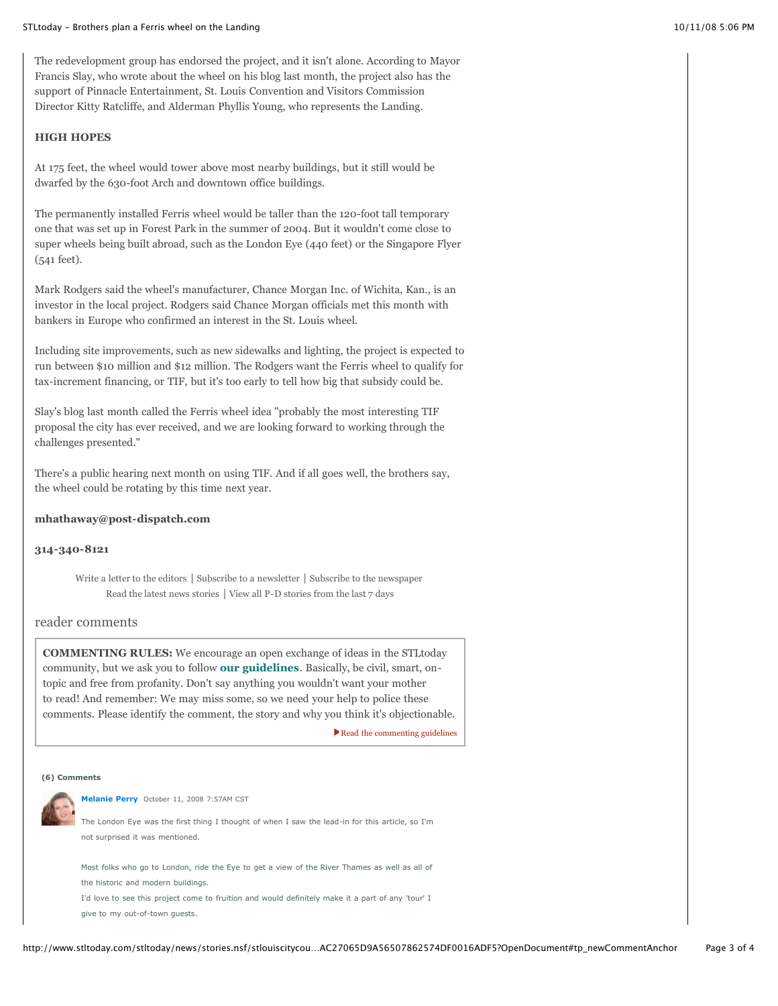The redevelopment group has endorsed the project, and it isn't alone. According to Mayor Francis Slay, who wrote about the wheel on his blog last month, the project also has the support of Pinnacle Entertainment, St. Louis Convention and Visitors Commission Director Kitty Ratcliffe, and Alderman Phyllis Young, who represents the Landing.

### **HIGH HOPES**

At 175 feet, the wheel would tower above most nearby buildings, but it still would be dwarfed by the 630-foot Arch and downtown office buildings.

The permanently installed Ferris wheel would be taller than the 120-foot tall temporary one that was set up in Forest Park in the summer of 2004. But it wouldn't come close to super wheels being built abroad, such as the London Eye (440 feet) or the Singapore Flyer (541 feet).

Mark Rodgers said the wheel's manufacturer, Chance Morgan Inc. of Wichita, Kan., is an investor in the local project. Rodgers said Chance Morgan officials met this month with bankers in Europe who confirmed an interest in the St. Louis wheel.

Including site improvements, such as new sidewalks and lighting, the project is expected to run between \$10 million and \$12 million. The Rodgers want the Ferris wheel to qualify for tax-increment financing, or TIF, but it's too early to tell how big that subsidy could be.

Slay's blog last month called the Ferris wheel idea "probably the most interesting TIF proposal the city has ever received, and we are looking forward to working through the challenges presented."

There's a public hearing next month on using TIF. And if all goes well, the brothers say, the wheel could be rotating by this time next year.

### **mhathaway@post-dispatch.com**

## **314-340-8121**

[Write a letter to the editors](http://www.stltoday.com/stltoday/news/stories.nsf/editorialcommentary/story/F435718CCC4D7D3D8625727B0078D131?OpenDocument) | [Subscribe to a newsletter](http://www.stltoday.com/newsletters) | [Subscribe to the newspaper](http://www.stltoday.com/help/subscriber-services) [Read the latest news stories](http://www.stltoday.com/news) | [View all P-D stories from the last 7 days](http://www.stltoday.com/todayspd)

# reader comments

**COMMENTING RULES:** We encourage an open exchange of ideas in the STLtoday community, but we ask you to follow **[our guidelines](http://www.stltoday.com/stltoday/help/stories.nsf/termsofservice/story/58C6115339C8CADB8625706800596EE1?OpenDocument)**. Basically, be civil, smart, ontopic and free from profanity. Don't say anything you wouldn't want your mother to read! And remember: We may miss some, so we need your help to police these comments. Please identify the comment, the story and why you think it's objectionable.

[Read the commenting guidelines](http://www.stltoday.com/stltoday/help/stories.nsf/termsofservice/story/58C6115339C8CADB8625706800596EE1?OpenDocument)

#### **(6) Comments**



**[Melanie Perry](http://my.stltoday.com/Melanie)** October 11, 2008 7:57AM CST

The London Eye was the first thing I thought of when I saw the lead-in for this article, so I'm not surprised it was mentioned.

Most folks who go to London, ride the Eye to get a view of the River Thames as well as all of the historic and modern buildings.

I'd love to see this project come to fruition and would definitely make it a part of any 'tour' I give to my out-of-town guests.